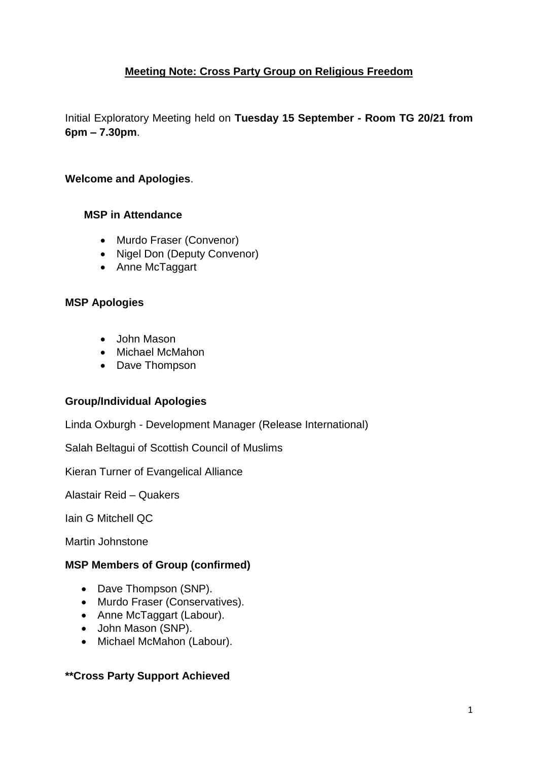## **Meeting Note: Cross Party Group on Religious Freedom**

Initial Exploratory Meeting held on **Tuesday 15 September - Room TG 20/21 from 6pm – 7.30pm**.

#### **Welcome and Apologies**.

#### **MSP in Attendance**

- Murdo Fraser (Convenor)
- Nigel Don (Deputy Convenor)
- Anne McTaggart

#### **MSP Apologies**

- John Mason
- Michael McMahon
- Dave Thompson

## **Group/Individual Apologies**

Linda Oxburgh - Development Manager (Release International)

Salah Beltagui of Scottish Council of Muslims

Kieran Turner of Evangelical Alliance

Alastair Reid – Quakers

Iain G Mitchell QC

Martin Johnstone

#### **MSP Members of Group (confirmed)**

- Dave Thompson (SNP).
- Murdo Fraser (Conservatives).
- Anne McTaggart (Labour).
- John Mason (SNP).
- Michael McMahon (Labour).

## **\*\*Cross Party Support Achieved**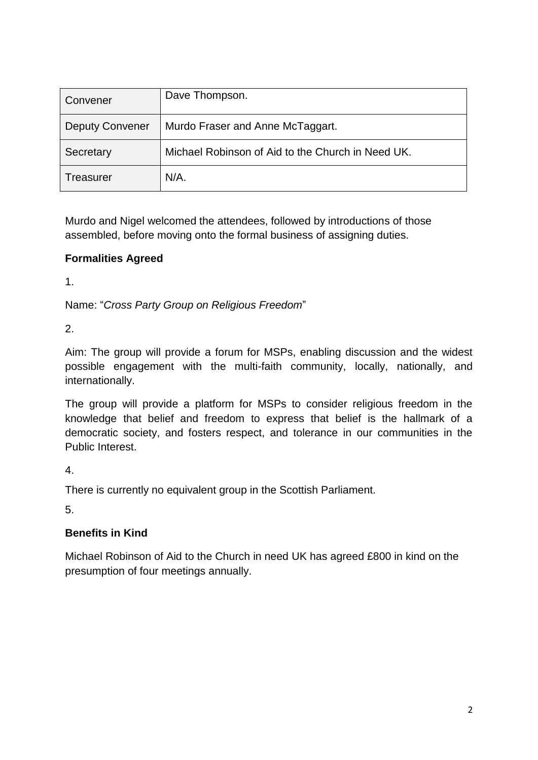| Convener               | Dave Thompson.                                    |
|------------------------|---------------------------------------------------|
| <b>Deputy Convener</b> | Murdo Fraser and Anne McTaggart.                  |
| Secretary              | Michael Robinson of Aid to the Church in Need UK. |
| Treasurer              | $N/A$ .                                           |

Murdo and Nigel welcomed the attendees, followed by introductions of those assembled, before moving onto the formal business of assigning duties.

# **Formalities Agreed**

1.

Name: "*Cross Party Group on Religious Freedom*"

2.

Aim: The group will provide a forum for MSPs, enabling discussion and the widest possible engagement with the multi-faith community, locally, nationally, and internationally.

The group will provide a platform for MSPs to consider religious freedom in the knowledge that belief and freedom to express that belief is the hallmark of a democratic society, and fosters respect, and tolerance in our communities in the Public Interest.

4.

There is currently no equivalent group in the Scottish Parliament.

5.

# **Benefits in Kind**

Michael Robinson of Aid to the Church in need UK has agreed £800 in kind on the presumption of four meetings annually.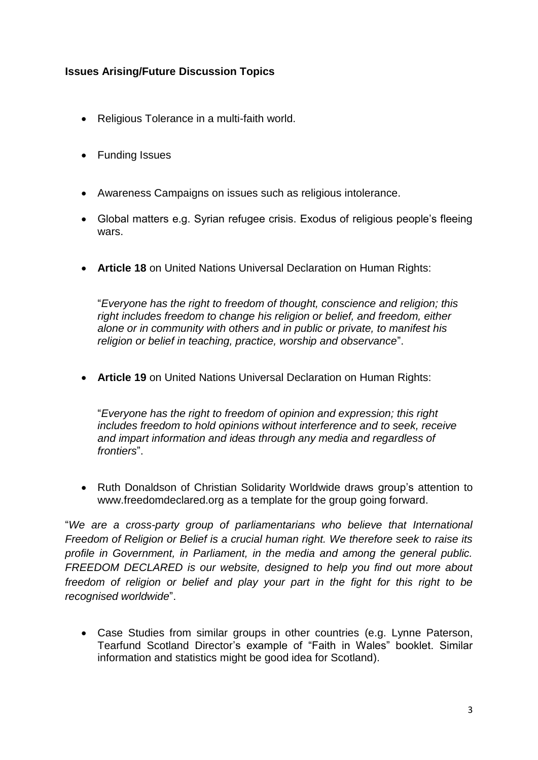## **Issues Arising/Future Discussion Topics**

- Religious Tolerance in a multi-faith world.
- Funding Issues
- Awareness Campaigns on issues such as religious intolerance.
- Global matters e.g. Syrian refugee crisis. Exodus of religious people's fleeing wars.
- **Article 18** on United Nations Universal Declaration on Human Rights:

"*Everyone has the right to freedom of thought, conscience and religion; this right includes freedom to change his religion or belief, and freedom, either alone or in community with others and in public or private, to manifest his religion or belief in teaching, practice, worship and observance*".

**Article 19** on United Nations Universal Declaration on Human Rights:

"*Everyone has the right to freedom of opinion and expression; this right includes freedom to hold opinions without interference and to seek, receive and impart information and ideas through any media and regardless of frontiers*".

• Ruth Donaldson of Christian Solidarity Worldwide draws group's attention to www.freedomdeclared.org as a template for the group going forward.

"*We are a cross-party group of parliamentarians who believe that International Freedom of Religion or Belief is a crucial human right. We therefore seek to raise its profile in Government, in Parliament, in the media and among the general public. FREEDOM DECLARED is our website, designed to help you find out more about freedom of religion or belief and play your part in the fight for this right to be recognised worldwide*".

 Case Studies from similar groups in other countries (e.g. Lynne Paterson, Tearfund Scotland Director's example of "Faith in Wales" booklet. Similar information and statistics might be good idea for Scotland).